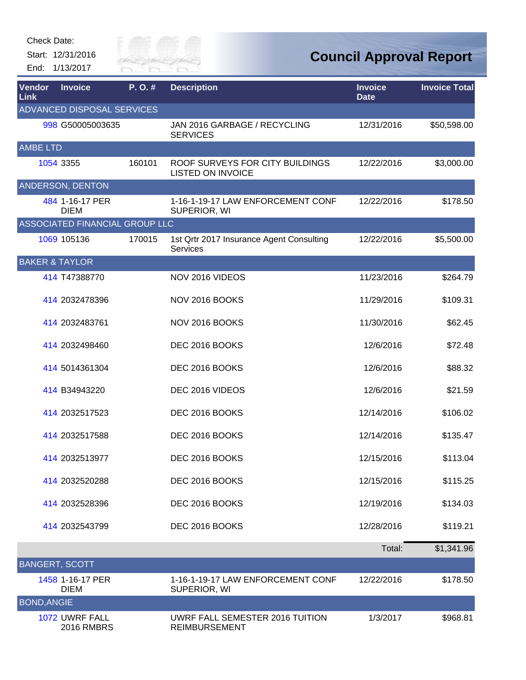Start: 12/31/2016 End: 1/13/2017



| Vendor<br><b>Link</b>     | <b>Invoice</b>                      | P.O.#  | <b>Description</b>                                          | <b>Invoice</b><br><b>Date</b> | <b>Invoice Total</b> |
|---------------------------|-------------------------------------|--------|-------------------------------------------------------------|-------------------------------|----------------------|
|                           | ADVANCED DISPOSAL SERVICES          |        |                                                             |                               |                      |
|                           | 998 G50005003635                    |        | JAN 2016 GARBAGE / RECYCLING<br><b>SERVICES</b>             | 12/31/2016                    | \$50,598.00          |
| <b>AMBE LTD</b>           |                                     |        |                                                             |                               |                      |
|                           | 1054 3355                           | 160101 | ROOF SURVEYS FOR CITY BUILDINGS<br><b>LISTED ON INVOICE</b> | 12/22/2016                    | \$3,000.00           |
|                           | ANDERSON, DENTON                    |        |                                                             |                               |                      |
|                           | 484 1-16-17 PER<br><b>DIEM</b>      |        | 1-16-1-19-17 LAW ENFORCEMENT CONF<br>SUPERIOR, WI           | 12/22/2016                    | \$178.50             |
|                           | ASSOCIATED FINANCIAL GROUP LLC      |        |                                                             |                               |                      |
|                           | 1069 105136                         | 170015 | 1st Qrtr 2017 Insurance Agent Consulting<br>Services        | 12/22/2016                    | \$5,500.00           |
| <b>BAKER &amp; TAYLOR</b> |                                     |        |                                                             |                               |                      |
|                           | 414 T47388770                       |        | NOV 2016 VIDEOS                                             | 11/23/2016                    | \$264.79             |
|                           | 414 2032478396                      |        | NOV 2016 BOOKS                                              | 11/29/2016                    | \$109.31             |
|                           | 414 2032483761                      |        | NOV 2016 BOOKS                                              | 11/30/2016                    | \$62.45              |
|                           | 414 2032498460                      |        | DEC 2016 BOOKS                                              | 12/6/2016                     | \$72.48              |
|                           | 414 5014361304                      |        | DEC 2016 BOOKS                                              | 12/6/2016                     | \$88.32              |
|                           | 414 B34943220                       |        | DEC 2016 VIDEOS                                             | 12/6/2016                     | \$21.59              |
|                           | 414 2032517523                      |        | DEC 2016 BOOKS                                              | 12/14/2016                    | \$106.02             |
|                           | 414 2032517588                      |        | DEC 2016 BOOKS                                              | 12/14/2016                    | \$135.47             |
|                           | 414 2032513977                      |        | DEC 2016 BOOKS                                              | 12/15/2016                    | \$113.04             |
|                           | 414 2032520288                      |        | DEC 2016 BOOKS                                              | 12/15/2016                    | \$115.25             |
|                           | 414 2032528396                      |        | DEC 2016 BOOKS                                              | 12/19/2016                    | \$134.03             |
|                           | 414 2032543799                      |        | DEC 2016 BOOKS                                              | 12/28/2016                    | \$119.21             |
|                           |                                     |        |                                                             | Total:                        | \$1,341.96           |
| <b>BANGERT, SCOTT</b>     |                                     |        |                                                             |                               |                      |
|                           | 1458 1-16-17 PER<br><b>DIEM</b>     |        | 1-16-1-19-17 LAW ENFORCEMENT CONF<br>SUPERIOR, WI           | 12/22/2016                    | \$178.50             |
| <b>BOND, ANGIE</b>        |                                     |        |                                                             |                               |                      |
|                           | 1072 UWRF FALL<br><b>2016 RMBRS</b> |        | UWRF FALL SEMESTER 2016 TUITION<br><b>REIMBURSEMENT</b>     | 1/3/2017                      | \$968.81             |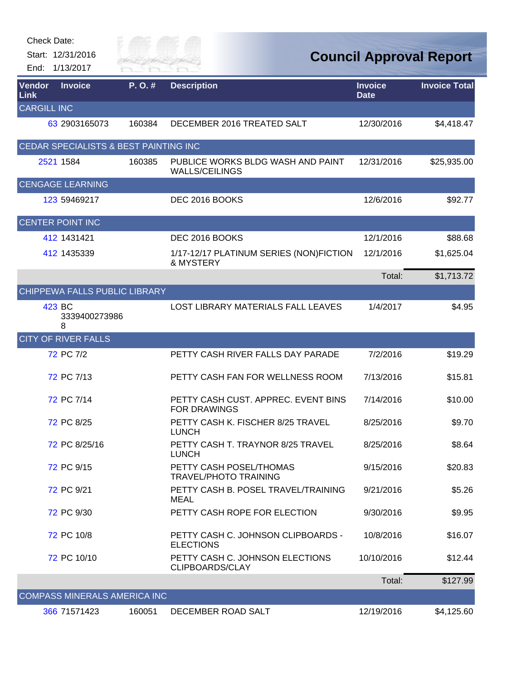|                    | <b>Check Date:</b><br>Start: 12/31/2016<br>End: 1/13/2017 | sity of<br><b>TVER FAI</b> |                                                            |                               | <b>Council Approval Report</b> |
|--------------------|-----------------------------------------------------------|----------------------------|------------------------------------------------------------|-------------------------------|--------------------------------|
| Vendor<br>Link     | <b>Invoice</b>                                            | P.O.#                      | <b>Description</b>                                         | <b>Invoice</b><br><b>Date</b> | <b>Invoice Total</b>           |
| <b>CARGILL INC</b> |                                                           |                            |                                                            |                               |                                |
|                    | 63 2903165073                                             | 160384                     | DECEMBER 2016 TREATED SALT                                 | 12/30/2016                    | \$4,418.47                     |
|                    | CEDAR SPECIALISTS & BEST PAINTING INC                     |                            |                                                            |                               |                                |
|                    | 2521 1584                                                 | 160385                     | PUBLICE WORKS BLDG WASH AND PAINT<br><b>WALLS/CEILINGS</b> | 12/31/2016                    | \$25,935.00                    |
|                    | <b>CENGAGE LEARNING</b>                                   |                            |                                                            |                               |                                |
|                    | 123 59469217                                              |                            | DEC 2016 BOOKS                                             | 12/6/2016                     | \$92.77                        |
|                    | <b>CENTER POINT INC</b>                                   |                            |                                                            |                               |                                |
|                    | 412 1431421                                               |                            | DEC 2016 BOOKS                                             | 12/1/2016                     | \$88.68                        |
|                    | 412 1435339                                               |                            | 1/17-12/17 PLATINUM SERIES (NON)FICTION<br>& MYSTERY       | 12/1/2016                     | \$1,625.04                     |
|                    |                                                           |                            |                                                            | Total:                        | \$1,713.72                     |
|                    | CHIPPEWA FALLS PUBLIC LIBRARY                             |                            |                                                            |                               |                                |
|                    | 423 BC<br>3339400273986<br>8                              |                            | LOST LIBRARY MATERIALS FALL LEAVES                         | 1/4/2017                      | \$4.95                         |
|                    | <b>CITY OF RIVER FALLS</b>                                |                            |                                                            |                               |                                |
|                    | 72 PC 7/2                                                 |                            | PETTY CASH RIVER FALLS DAY PARADE                          | 7/2/2016                      | \$19.29                        |
|                    | 72 PC 7/13                                                |                            | PETTY CASH FAN FOR WELLNESS ROOM                           | 7/13/2016                     | \$15.81                        |
|                    | 72 PC 7/14                                                |                            | PETTY CASH CUST, APPREC, EVENT BINS<br><b>FOR DRAWINGS</b> | 7/14/2016                     | \$10.00                        |
|                    | 72 PC 8/25                                                |                            | PETTY CASH K. FISCHER 8/25 TRAVEL<br><b>LUNCH</b>          | 8/25/2016                     | \$9.70                         |
|                    | 72 PC 8/25/16                                             |                            | PETTY CASH T. TRAYNOR 8/25 TRAVEL<br><b>LUNCH</b>          | 8/25/2016                     | \$8.64                         |
|                    | 72 PC 9/15                                                |                            | PETTY CASH POSEL/THOMAS<br><b>TRAVEL/PHOTO TRAINING</b>    | 9/15/2016                     | \$20.83                        |
|                    | 72 PC 9/21                                                |                            | PETTY CASH B. POSEL TRAVEL/TRAINING<br><b>MEAL</b>         | 9/21/2016                     | \$5.26                         |
|                    | 72 PC 9/30                                                |                            | PETTY CASH ROPE FOR ELECTION                               | 9/30/2016                     | \$9.95                         |
|                    | 72 PC 10/8                                                |                            | PETTY CASH C. JOHNSON CLIPBOARDS -<br><b>ELECTIONS</b>     | 10/8/2016                     | \$16.07                        |
|                    | 72 PC 10/10                                               |                            | PETTY CASH C. JOHNSON ELECTIONS<br>CLIPBOARDS/CLAY         | 10/10/2016                    | \$12.44                        |
|                    |                                                           |                            |                                                            | Total:                        | \$127.99                       |
|                    | <b>COMPASS MINERALS AMERICA INC</b>                       |                            |                                                            |                               |                                |
|                    | 366 71571423                                              | 160051                     | DECEMBER ROAD SALT                                         | 12/19/2016                    | \$4,125.60                     |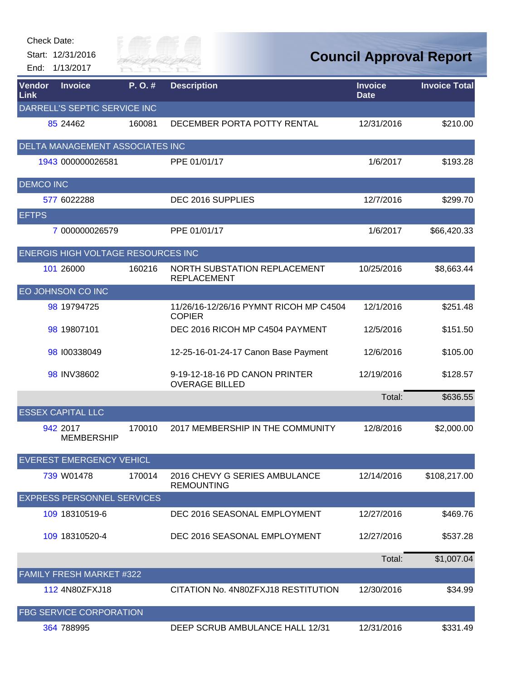| Check Date:<br>End:   | Start: 12/31/2016<br>1/13/2017     | Tily of<br>IVER FAI |                                                           | <b>Council Approval Report</b> |                      |
|-----------------------|------------------------------------|---------------------|-----------------------------------------------------------|--------------------------------|----------------------|
| Vendor<br><b>Link</b> | <b>Invoice</b>                     | P.O.#               | <b>Description</b>                                        | <b>Invoice</b><br><b>Date</b>  | <b>Invoice Total</b> |
|                       | DARRELL'S SEPTIC SERVICE INC       |                     |                                                           |                                |                      |
|                       | 85 24462                           | 160081              | DECEMBER PORTA POTTY RENTAL                               | 12/31/2016                     | \$210.00             |
|                       | DELTA MANAGEMENT ASSOCIATES INC    |                     |                                                           |                                |                      |
|                       | 1943 000000026581                  |                     | PPE 01/01/17                                              | 1/6/2017                       | \$193.28             |
| <b>DEMCO INC</b>      |                                    |                     |                                                           |                                |                      |
|                       | 577 6022288                        |                     | DEC 2016 SUPPLIES                                         | 12/7/2016                      | \$299.70             |
| <b>EFTPS</b>          |                                    |                     |                                                           |                                |                      |
|                       | 7 000000026579                     |                     | PPE 01/01/17                                              | 1/6/2017                       | \$66,420.33          |
|                       | ENERGIS HIGH VOLTAGE RESOURCES INC |                     |                                                           |                                |                      |
|                       | 101 26000                          | 160216              | <b>NORTH SUBSTATION REPLACEMENT</b><br><b>REPLACEMENT</b> | 10/25/2016                     | \$8,663.44           |
|                       | EO JOHNSON CO INC                  |                     |                                                           |                                |                      |
|                       | 98 19794725                        |                     | 11/26/16-12/26/16 PYMNT RICOH MP C4504<br><b>COPIER</b>   | 12/1/2016                      | \$251.48             |
|                       | 98 19807101                        |                     | DEC 2016 RICOH MP C4504 PAYMENT                           | 12/5/2016                      | \$151.50             |
|                       | 98 100338049                       |                     | 12-25-16-01-24-17 Canon Base Payment                      | 12/6/2016                      | \$105.00             |
|                       | 98 INV38602                        |                     | 9-19-12-18-16 PD CANON PRINTER<br><b>OVERAGE BILLED</b>   | 12/19/2016                     | \$128.57             |
|                       |                                    |                     |                                                           | Total:                         | \$636.55             |
|                       | <b>ESSEX CAPITAL LLC</b>           |                     |                                                           |                                |                      |
|                       | 942 2017<br><b>MEMBERSHIP</b>      | 170010              | 2017 MEMBERSHIP IN THE COMMUNITY                          | 12/8/2016                      | \$2,000.00           |
|                       | <b>EVEREST EMERGENCY VEHICL</b>    |                     |                                                           |                                |                      |
|                       | 739 W01478                         | 170014              | 2016 CHEVY G SERIES AMBULANCE<br><b>REMOUNTING</b>        | 12/14/2016                     | \$108,217.00         |
|                       | <b>EXPRESS PERSONNEL SERVICES</b>  |                     |                                                           |                                |                      |
|                       | 109 18310519-6                     |                     | DEC 2016 SEASONAL EMPLOYMENT                              | 12/27/2016                     | \$469.76             |
|                       | 109 18310520-4                     |                     | DEC 2016 SEASONAL EMPLOYMENT                              | 12/27/2016                     | \$537.28             |
|                       |                                    |                     |                                                           | Total:                         | \$1,007.04           |
|                       | FAMILY FRESH MARKET #322           |                     |                                                           |                                |                      |
|                       | 112 4N80ZFXJ18                     |                     | CITATION No. 4N80ZFXJ18 RESTITUTION                       | 12/30/2016                     | \$34.99              |
|                       | <b>FBG SERVICE CORPORATION</b>     |                     |                                                           |                                |                      |
|                       | 364 788995                         |                     | DEEP SCRUB AMBULANCE HALL 12/31                           | 12/31/2016                     | \$331.49             |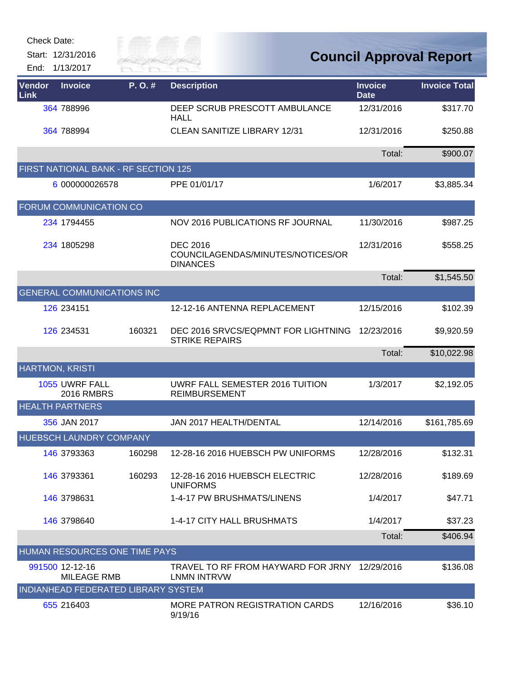Start: 12/31/2016 End: 1/13/2017



| <b>Vendor</b><br><b>Link</b> | <b>Invoice</b>                             | P. O. # | <b>Description</b>                                                      | <b>Invoice</b><br><b>Date</b> | <b>Invoice Total</b> |
|------------------------------|--------------------------------------------|---------|-------------------------------------------------------------------------|-------------------------------|----------------------|
|                              | 364 788996                                 |         | DEEP SCRUB PRESCOTT AMBULANCE<br><b>HALL</b>                            | 12/31/2016                    | \$317.70             |
|                              | 364 788994                                 |         | <b>CLEAN SANITIZE LIBRARY 12/31</b>                                     | 12/31/2016                    | \$250.88             |
|                              |                                            |         |                                                                         | Total:                        | \$900.07             |
|                              | FIRST NATIONAL BANK - RF SECTION 125       |         |                                                                         |                               |                      |
|                              | 6 000000026578                             |         | PPE 01/01/17                                                            | 1/6/2017                      | \$3,885.34           |
|                              | FORUM COMMUNICATION CO                     |         |                                                                         |                               |                      |
|                              | 234 1794455                                |         | NOV 2016 PUBLICATIONS RF JOURNAL                                        | 11/30/2016                    | \$987.25             |
|                              | 234 1805298                                |         | <b>DEC 2016</b><br>COUNCILAGENDAS/MINUTES/NOTICES/OR<br><b>DINANCES</b> | 12/31/2016                    | \$558.25             |
|                              |                                            |         |                                                                         | Total:                        | \$1,545.50           |
|                              | <b>GENERAL COMMUNICATIONS INC</b>          |         |                                                                         |                               |                      |
|                              | 126 234151                                 |         | 12-12-16 ANTENNA REPLACEMENT                                            | 12/15/2016                    | \$102.39             |
|                              | 126 234531                                 | 160321  | DEC 2016 SRVCS/EQPMNT FOR LIGHTNING<br><b>STRIKE REPAIRS</b>            | 12/23/2016                    | \$9,920.59           |
|                              |                                            |         |                                                                         | Total:                        | \$10,022.98          |
| <b>HARTMON, KRISTI</b>       |                                            |         |                                                                         |                               |                      |
|                              | 1055 UWRF FALL<br><b>2016 RMBRS</b>        |         | UWRF FALL SEMESTER 2016 TUITION<br><b>REIMBURSEMENT</b>                 | 1/3/2017                      | \$2,192.05           |
|                              | <b>HEALTH PARTNERS</b>                     |         |                                                                         |                               |                      |
|                              | 356 JAN 2017                               |         | JAN 2017 HEALTH/DENTAL                                                  | 12/14/2016                    | \$161,785.69         |
|                              | HUEBSCH LAUNDRY COMPANY                    |         |                                                                         |                               |                      |
|                              | 146 3793363                                | 160298  | 12-28-16 2016 HUEBSCH PW UNIFORMS                                       | 12/28/2016                    | \$132.31             |
|                              | 146 3793361                                | 160293  | 12-28-16 2016 HUEBSCH ELECTRIC<br><b>UNIFORMS</b>                       | 12/28/2016                    | \$189.69             |
|                              | 146 3798631                                |         | 1-4-17 PW BRUSHMATS/LINENS                                              | 1/4/2017                      | \$47.71              |
|                              | 146 3798640                                |         | 1-4-17 CITY HALL BRUSHMATS                                              | 1/4/2017                      | \$37.23              |
|                              |                                            |         |                                                                         | Total:                        | \$406.94             |
|                              | HUMAN RESOURCES ONE TIME PAYS              |         |                                                                         |                               |                      |
|                              | 991500 12-12-16<br><b>MILEAGE RMB</b>      |         | TRAVEL TO RF FROM HAYWARD FOR JRNY 12/29/2016<br>LNMN INTRVW            |                               | \$136.08             |
|                              | <b>INDIANHEAD FEDERATED LIBRARY SYSTEM</b> |         |                                                                         |                               |                      |
|                              | 655 216403                                 |         | <b>MORE PATRON REGISTRATION CARDS</b><br>9/19/16                        | 12/16/2016                    | \$36.10              |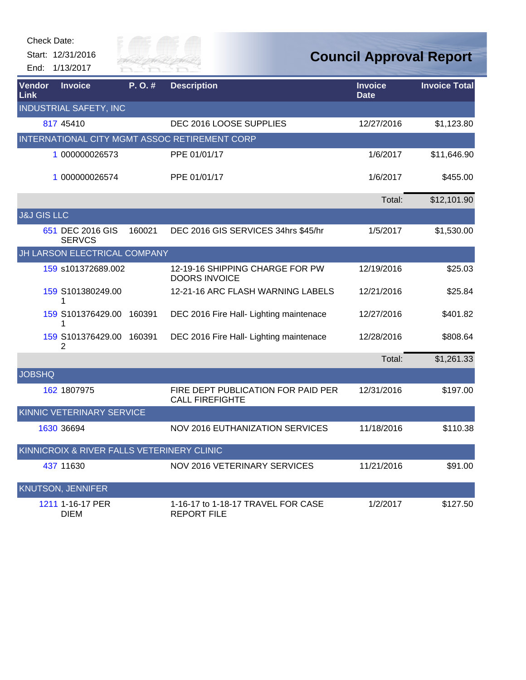Start: 12/31/2016 End: 1/13/2017



| Vendor<br>Link         | <b>Invoice</b>                             | P.O.#  | <b>Description</b>                                           | <b>Invoice</b><br><b>Date</b> | <b>Invoice Total</b> |
|------------------------|--------------------------------------------|--------|--------------------------------------------------------------|-------------------------------|----------------------|
|                        | <b>INDUSTRIAL SAFETY, INC</b>              |        |                                                              |                               |                      |
|                        | 817 45410                                  |        | DEC 2016 LOOSE SUPPLIES                                      | 12/27/2016                    | \$1,123.80           |
|                        |                                            |        | INTERNATIONAL CITY MGMT ASSOC RETIREMENT CORP                |                               |                      |
|                        | 1 000000026573                             |        | PPE 01/01/17                                                 | 1/6/2017                      | \$11,646.90          |
|                        | 1 000000026574                             |        | PPE 01/01/17                                                 | 1/6/2017                      | \$455.00             |
|                        |                                            |        |                                                              | Total:                        | \$12,101.90          |
| <b>J&amp;J GIS LLC</b> |                                            |        |                                                              |                               |                      |
|                        | 651 DEC 2016 GIS<br><b>SERVCS</b>          | 160021 | DEC 2016 GIS SERVICES 34hrs \$45/hr                          | 1/5/2017                      | \$1,530.00           |
|                        | JH LARSON ELECTRICAL COMPANY               |        |                                                              |                               |                      |
|                        | 159 s101372689.002                         |        | 12-19-16 SHIPPING CHARGE FOR PW<br><b>DOORS INVOICE</b>      | 12/19/2016                    | \$25.03              |
|                        | 159 S101380249.00<br>1                     |        | 12-21-16 ARC FLASH WARNING LABELS                            | 12/21/2016                    | \$25.84              |
|                        | 159 S101376429.00<br>1                     | 160391 | DEC 2016 Fire Hall- Lighting maintenace                      | 12/27/2016                    | \$401.82             |
|                        | 159 S101376429.00 160391<br>2              |        | DEC 2016 Fire Hall- Lighting maintenace                      | 12/28/2016                    | \$808.64             |
|                        |                                            |        |                                                              | Total:                        | \$1,261.33           |
| <b>JOBSHQ</b>          |                                            |        |                                                              |                               |                      |
|                        | 162 1807975                                |        | FIRE DEPT PUBLICATION FOR PAID PER<br><b>CALL FIREFIGHTE</b> | 12/31/2016                    | \$197.00             |
|                        | KINNIC VETERINARY SERVICE                  |        |                                                              |                               |                      |
|                        | 1630 36694                                 |        | NOV 2016 EUTHANIZATION SERVICES                              | 11/18/2016                    | \$110.38             |
|                        | KINNICROIX & RIVER FALLS VETERINERY CLINIC |        |                                                              |                               |                      |
|                        | 437 11630                                  |        | <b>NOV 2016 VETERINARY SERVICES</b>                          | 11/21/2016                    | \$91.00              |
|                        | <b>KNUTSON, JENNIFER</b>                   |        |                                                              |                               |                      |
|                        | 1211 1-16-17 PER<br><b>DIEM</b>            |        | 1-16-17 to 1-18-17 TRAVEL FOR CASE<br><b>REPORT FILE</b>     | 1/2/2017                      | \$127.50             |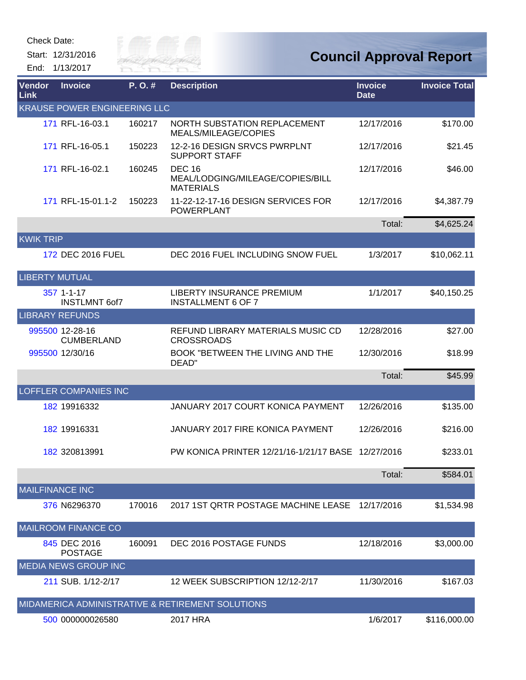Start: 12/31/2016 End: 1/13/2017



| <b>Vendor</b><br><b>Link</b> | <b>Invoice</b>                       | P.O.#  | <b>Description</b>                                                    | <b>Invoice</b><br><b>Date</b> | <b>Invoice Total</b> |
|------------------------------|--------------------------------------|--------|-----------------------------------------------------------------------|-------------------------------|----------------------|
|                              | <b>KRAUSE POWER ENGINEERING LLC</b>  |        |                                                                       |                               |                      |
|                              | 171 RFL-16-03.1                      | 160217 | <b>NORTH SUBSTATION REPLACEMENT</b><br>MEALS/MILEAGE/COPIES           | 12/17/2016                    | \$170.00             |
|                              | 171 RFL-16-05.1                      | 150223 | 12-2-16 DESIGN SRVCS PWRPLNT<br><b>SUPPORT STAFF</b>                  | 12/17/2016                    | \$21.45              |
|                              | 171 RFL-16-02.1                      | 160245 | <b>DEC 16</b><br>MEAL/LODGING/MILEAGE/COPIES/BILL<br><b>MATERIALS</b> | 12/17/2016                    | \$46.00              |
|                              | 171 RFL-15-01.1-2                    | 150223 | 11-22-12-17-16 DESIGN SERVICES FOR<br><b>POWERPLANT</b>               | 12/17/2016                    | \$4,387.79           |
|                              |                                      |        |                                                                       | Total:                        | \$4,625.24           |
| <b>KWIK TRIP</b>             |                                      |        |                                                                       |                               |                      |
|                              | 172 DEC 2016 FUEL                    |        | DEC 2016 FUEL INCLUDING SNOW FUEL                                     | 1/3/2017                      | \$10,062.11          |
| <b>LIBERTY MUTUAL</b>        |                                      |        |                                                                       |                               |                      |
|                              | 357 1-1-17<br><b>INSTLMNT 6of7</b>   |        | LIBERTY INSURANCE PREMIUM<br><b>INSTALLMENT 6 OF 7</b>                | 1/1/2017                      | \$40,150.25          |
|                              | <b>LIBRARY REFUNDS</b>               |        |                                                                       |                               |                      |
|                              | 995500 12-28-16<br><b>CUMBERLAND</b> |        | REFUND LIBRARY MATERIALS MUSIC CD<br><b>CROSSROADS</b>                | 12/28/2016                    | \$27.00              |
|                              | 995500 12/30/16                      |        | BOOK "BETWEEN THE LIVING AND THE<br>DEAD"                             | 12/30/2016                    | \$18.99              |
|                              |                                      |        |                                                                       | Total:                        | \$45.99              |
|                              | <b>LOFFLER COMPANIES INC</b>         |        |                                                                       |                               |                      |
|                              | 182 19916332                         |        | JANUARY 2017 COURT KONICA PAYMENT                                     | 12/26/2016                    | \$135.00             |
|                              | 182 19916331                         |        | JANUARY 2017 FIRE KONICA PAYMENT                                      | 12/26/2016                    | \$216.00             |
|                              | 182 320813991                        |        | PW KONICA PRINTER 12/21/16-1/21/17 BASE 12/27/2016                    |                               | \$233.01             |
|                              |                                      |        |                                                                       | Total:                        | \$584.01             |
| <b>MAILFINANCE INC</b>       |                                      |        |                                                                       |                               |                      |
|                              | 376 N6296370                         | 170016 | 2017 1ST QRTR POSTAGE MACHINE LEASE                                   | 12/17/2016                    | \$1,534.98           |
|                              | <b>MAILROOM FINANCE CO</b>           |        |                                                                       |                               |                      |
|                              | 845 DEC 2016<br><b>POSTAGE</b>       | 160091 | DEC 2016 POSTAGE FUNDS                                                | 12/18/2016                    | \$3,000.00           |
|                              | <b>MEDIA NEWS GROUP INC</b>          |        |                                                                       |                               |                      |
|                              | 211 SUB. 1/12-2/17                   |        | 12 WEEK SUBSCRIPTION 12/12-2/17                                       | 11/30/2016                    | \$167.03             |
|                              |                                      |        | MIDAMERICA ADMINISTRATIVE & RETIREMENT SOLUTIONS                      |                               |                      |
|                              | 500 000000026580                     |        | 2017 HRA                                                              | 1/6/2017                      | \$116,000.00         |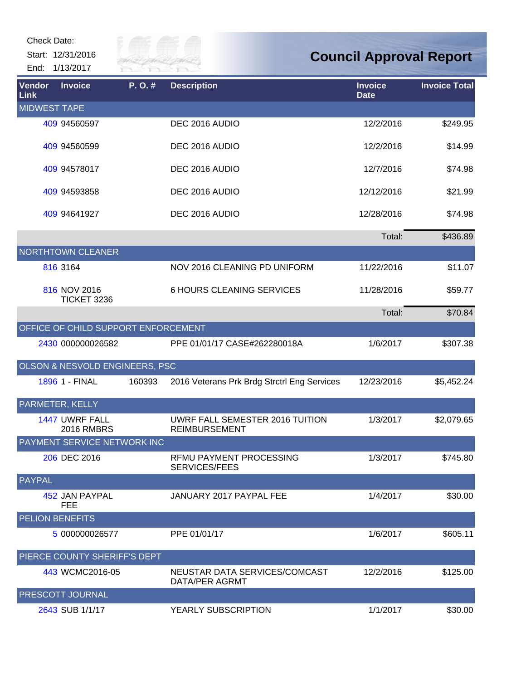| Check Date: |                   |  |  |  |
|-------------|-------------------|--|--|--|
|             | Start: 12/31/2016 |  |  |  |

End: 1/13/2017



| Vendor<br><b>Link</b>  | <b>Invoice</b>                      | P.O.#  | <b>Description</b>                                      | <b>Invoice</b><br><b>Date</b> | <b>Invoice Total</b> |
|------------------------|-------------------------------------|--------|---------------------------------------------------------|-------------------------------|----------------------|
| <b>MIDWEST TAPE</b>    |                                     |        |                                                         |                               |                      |
|                        | 409 94560597                        |        | DEC 2016 AUDIO                                          | 12/2/2016                     | \$249.95             |
|                        | 409 94560599                        |        | DEC 2016 AUDIO                                          | 12/2/2016                     | \$14.99              |
|                        | 409 94578017                        |        | DEC 2016 AUDIO                                          | 12/7/2016                     | \$74.98              |
|                        | 409 94593858                        |        | DEC 2016 AUDIO                                          | 12/12/2016                    | \$21.99              |
|                        | 409 94641927                        |        | DEC 2016 AUDIO                                          | 12/28/2016                    | \$74.98              |
|                        |                                     |        |                                                         | Total:                        | \$436.89             |
|                        | <b>NORTHTOWN CLEANER</b>            |        |                                                         |                               |                      |
|                        | 816 3164                            |        | NOV 2016 CLEANING PD UNIFORM                            | 11/22/2016                    | \$11.07              |
|                        | 816 NOV 2016<br><b>TICKET 3236</b>  |        | <b>6 HOURS CLEANING SERVICES</b>                        | 11/28/2016                    | \$59.77              |
|                        |                                     |        |                                                         | Total:                        | \$70.84              |
|                        | OFFICE OF CHILD SUPPORT ENFORCEMENT |        |                                                         |                               |                      |
|                        | 2430 000000026582                   |        | PPE 01/01/17 CASE#262280018A                            | 1/6/2017                      | \$307.38             |
|                        | OLSON & NESVOLD ENGINEERS, PSC      |        |                                                         |                               |                      |
|                        | 1896 1 - FINAL                      | 160393 | 2016 Veterans Prk Brdg Strctrl Eng Services             | 12/23/2016                    | \$5,452.24           |
|                        | PARMETER, KELLY                     |        |                                                         |                               |                      |
|                        | 1447 UWRF FALL<br><b>2016 RMBRS</b> |        | UWRF FALL SEMESTER 2016 TUITION<br><b>REIMBURSEMENT</b> | 1/3/2017                      | \$2,079.65           |
|                        | PAYMENT SERVICE NETWORK INC         |        |                                                         |                               |                      |
|                        | 206 DEC 2016                        |        | RFMU PAYMENT PROCESSING<br>SERVICES/FEES                | 1/3/2017                      | \$745.80             |
| <b>PAYPAL</b>          |                                     |        |                                                         |                               |                      |
|                        | 452 JAN PAYPAL<br><b>FEE</b>        |        | JANUARY 2017 PAYPAL FEE                                 | 1/4/2017                      | \$30.00              |
| <b>PELION BENEFITS</b> |                                     |        |                                                         |                               |                      |
|                        | 5 000000026577                      |        | PPE 01/01/17                                            | 1/6/2017                      | \$605.11             |
|                        | PIERCE COUNTY SHERIFF'S DEPT        |        |                                                         |                               |                      |
|                        | 443 WCMC2016-05                     |        | NEUSTAR DATA SERVICES/COMCAST<br>DATA/PER AGRMT         | 12/2/2016                     | \$125.00             |
|                        | PRESCOTT JOURNAL                    |        |                                                         |                               |                      |
|                        | 2643 SUB 1/1/17                     |        | YEARLY SUBSCRIPTION                                     | 1/1/2017                      | \$30.00              |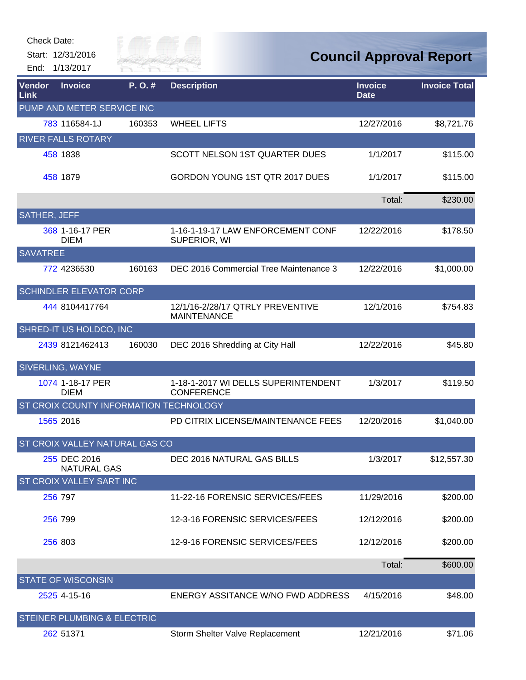Start: 12/31/2016

End: 1/13/2017



| Vendor<br>Link      | <b>Invoice</b>                         | P.O.#  | <b>Description</b>                                       | <b>Invoice</b><br><b>Date</b> | <b>Invoice Total</b> |
|---------------------|----------------------------------------|--------|----------------------------------------------------------|-------------------------------|----------------------|
|                     | PUMP AND METER SERVICE INC             |        |                                                          |                               |                      |
|                     | 783 116584-1J                          | 160353 | <b>WHEEL LIFTS</b>                                       | 12/27/2016                    | \$8,721.76           |
|                     | <b>RIVER FALLS ROTARY</b>              |        |                                                          |                               |                      |
|                     | 458 1838                               |        | SCOTT NELSON 1ST QUARTER DUES                            | 1/1/2017                      | \$115.00             |
|                     | 458 1879                               |        | GORDON YOUNG 1ST QTR 2017 DUES                           | 1/1/2017                      | \$115.00             |
|                     |                                        |        |                                                          | Total:                        | \$230.00             |
| <b>SATHER, JEFF</b> |                                        |        |                                                          |                               |                      |
|                     | 368 1-16-17 PER<br><b>DIEM</b>         |        | 1-16-1-19-17 LAW ENFORCEMENT CONF<br>SUPERIOR, WI        | 12/22/2016                    | \$178.50             |
| <b>SAVATREE</b>     |                                        |        |                                                          |                               |                      |
|                     | 772 4236530                            | 160163 | DEC 2016 Commercial Tree Maintenance 3                   | 12/22/2016                    | \$1,000.00           |
|                     | SCHINDLER ELEVATOR CORP                |        |                                                          |                               |                      |
|                     | 444 8104417764                         |        | 12/1/16-2/28/17 QTRLY PREVENTIVE<br><b>MAINTENANCE</b>   | 12/1/2016                     | \$754.83             |
|                     | SHRED-IT US HOLDCO, INC                |        |                                                          |                               |                      |
|                     | 2439 8121462413                        | 160030 | DEC 2016 Shredding at City Hall                          | 12/22/2016                    | \$45.80              |
|                     | <b>SIVERLING, WAYNE</b>                |        |                                                          |                               |                      |
|                     | 1074 1-18-17 PER<br><b>DIEM</b>        |        | 1-18-1-2017 WI DELLS SUPERINTENDENT<br><b>CONFERENCE</b> | 1/3/2017                      | \$119.50             |
|                     | ST CROIX COUNTY INFORMATION TECHNOLOGY |        |                                                          |                               |                      |
|                     | 1565 2016                              |        | PD CITRIX LICENSE/MAINTENANCE FEES                       | 12/20/2016                    | \$1,040.00           |
|                     | <b>ST CROIX VALLEY NATURAL GAS CO</b>  |        |                                                          |                               |                      |
|                     | 255 DEC 2016<br><b>NATURAL GAS</b>     |        | DEC 2016 NATURAL GAS BILLS                               | 1/3/2017                      | \$12,557.30          |
|                     | ST CROIX VALLEY SART INC               |        |                                                          |                               |                      |
|                     | 256 797                                |        | 11-22-16 FORENSIC SERVICES/FEES                          | 11/29/2016                    | \$200.00             |
|                     | 256 799                                |        | 12-3-16 FORENSIC SERVICES/FEES                           | 12/12/2016                    | \$200.00             |
|                     | 256 803                                |        | 12-9-16 FORENSIC SERVICES/FEES                           | 12/12/2016                    | \$200.00             |
|                     |                                        |        |                                                          | Total:                        | \$600.00             |
|                     | <b>STATE OF WISCONSIN</b>              |        |                                                          |                               |                      |
|                     | 2525 4-15-16                           |        | ENERGY ASSITANCE W/NO FWD ADDRESS                        | 4/15/2016                     | \$48.00              |
|                     | <b>STEINER PLUMBING &amp; ELECTRIC</b> |        |                                                          |                               |                      |
|                     | 262 51371                              |        | Storm Shelter Valve Replacement                          | 12/21/2016                    | \$71.06              |